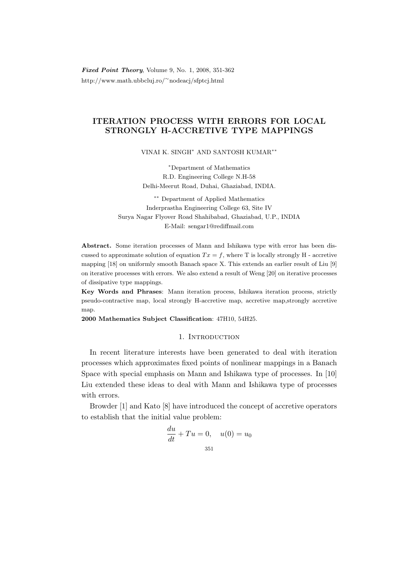Fixed Point Theory, Volume 9, No. 1, 2008, 351-362 http://www.math.ubbcluj.ro/<sup>∼</sup>nodeacj/sfptcj.html

# ITERATION PROCESS WITH ERRORS FOR LOCAL STRONGLY H-ACCRETIVE TYPE MAPPINGS

VINAI K. SINGH<sup>∗</sup> AND SANTOSH KUMAR∗∗

<sup>∗</sup>Department of Mathematics R.D. Engineering College N.H-58 Delhi-Meerut Road, Duhai, Ghaziabad, INDIA.

∗∗ Department of Applied Mathematics Inderprastha Engineering College 63, Site IV Surya Nagar Flyover Road Shahibabad, Ghaziabad, U.P., INDIA E-Mail: sengar1@rediffmail.com

Abstract. Some iteration processes of Mann and Ishikawa type with error has been discussed to approximate solution of equation  $Tx = f$ , where T is locally strongly H - accretive mapping [18] on uniformly smooth Banach space X. This extends an earlier result of Liu [9] on iterative processes with errors. We also extend a result of Weng [20] on iterative processes of dissipative type mappings.

Key Words and Phrases: Mann iteration process, Ishikawa iteration process, strictly pseudo-contractive map, local strongly H-accretive map, accretive map,strongly accretive map.

2000 Mathematics Subject Classification: 47H10, 54H25.

### 1. INTRODUCTION

In recent literature interests have been generated to deal with iteration processes which approximates fixed points of nonlinear mappings in a Banach Space with special emphasis on Mann and Ishikawa type of processes. In [10] Liu extended these ideas to deal with Mann and Ishikawa type of processes with errors.

Browder [1] and Kato [8] have introduced the concept of accretive operators to establish that the initial value problem:

$$
\frac{du}{dt} + Tu = 0, \quad u(0) = u_0
$$
  

$$
351
$$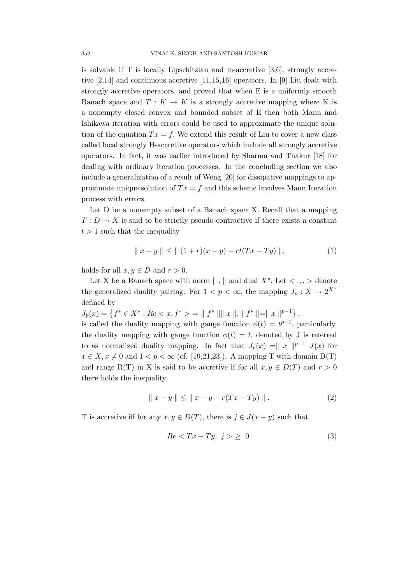is solvable if T is locally Lipschitzian and m-accretive  $[3,6]$ , strongly accretive [2,14] and continuous accretive [11,15,16] operators. In [9] Liu dealt with strongly accretive operators, and proved that when E is a uniformly smooth Banach space and  $T : K \to K$  is a strongly accretive mapping where K is a nonempty closed convex and bounded subset of E then both Mann and Ishikawa iteration with errors could be used to approximate the unique solution of the equation  $Tx = f$ . We extend this result of Liu to cover a new class called local strongly H-accretive operators which include all strongly accretive operators. In fact, it was earlier introduced by Sharma and Thakur [18] for dealing with ordinary iteration processes. In the concluding section we also include a generalization of a result of Weng [20] for dissipative mappings to approximate unique solution of  $Tx = f$  and this scheme involves Mann Iteration process with errors.

Let D be a nonempty subset of a Banach space X. Recall that a mapping  $T: D \to X$  is said to be strictly pseudo-contractive if there exists a constant  $t > 1$  such that the inequality

$$
\|x - y\| \le \| (1 + r)(x - y) - rt(Tx - Ty) \|,
$$
 (1)

holds for all  $x, y \in D$  and  $r > 0$ .

Let X be a Banach space with norm  $\| \cdot \|$  and dual  $X^*$ . Let  $\langle \cdot, \cdot \rangle$  denote the generalized duality pairing. For  $1 < p < \infty$ , the mapping  $J_p : X \to 2^{X^*}$ defined by

 $J_p(x) = \{f^* \in X^* : Re < x, f^* > \; = \; ||\; f^* \;|| ||x||, ||\; f^* \;|| = ||x||^{p-1}\}\,$ 

is called the duality mapping with gauge function  $\phi(t) = t^{p-1}$ , particularly, the duality mapping with gauge function  $\phi(t) = t$ , denoted by J is referred to as normalized duality mapping. In fact that  $J_p(x) = ||x||^{p-1} J(x)$  for  $x \in X, x \neq 0$  and  $1 < p < \infty$  (cf. [19,21,23]). A mapping T with domain D(T) and range R(T) in X is said to be accretive if for all  $x, y \in D(T)$  and  $r > 0$ there holds the inequality

$$
\| x - y \| \le \| x - y - r(Tx - Ty) \|.
$$
 (2)

T is accretive iff for any  $x, y \in D(T)$ , there is  $j \in J(x - y)$  such that

$$
Re < Tx - Ty, \ j > \geq 0. \tag{3}
$$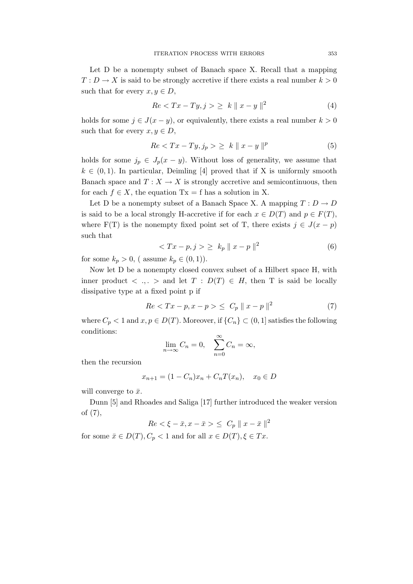Let D be a nonempty subset of Banach space X. Recall that a mapping  $T: D \to X$  is said to be strongly accretive if there exists a real number  $k > 0$ such that for every  $x, y \in D$ ,

$$
Re < Tx - Ty, j > \ge k \parallel x - y \parallel^{2}
$$
\n
$$
(4)
$$

holds for some  $j \in J(x - y)$ , or equivalently, there exists a real number  $k > 0$ such that for every  $x, y \in D$ ,

$$
Re < Tx - Ty, j_p > \geq k \parallel x - y \parallel^p
$$
\n
$$
(5)
$$

holds for some  $j_p \in J_p(x-y)$ . Without loss of generality, we assume that  $k \in (0, 1)$ . In particular, Deimling [4] proved that if X is uniformly smooth Banach space and  $T : X \to X$  is strongly accretive and semicontinuous, then for each  $f \in X$ , the equation Tx = f has a solution in X.

Let D be a nonempty subset of a Banach Space X. A mapping  $T: D \to D$ is said to be a local strongly H-accretive if for each  $x \in D(T)$  and  $p \in F(T)$ , where F(T) is the nonempty fixed point set of T, there exists  $j \in J(x - p)$ such that

$$
\langle Tx - p, j \rangle \ge k_p \| x - p \|^2 \tag{6}
$$

for some  $k_p > 0$ , (assume  $k_p \in (0,1)$ ).

Now let D be a nonempty closed convex subset of a Hilbert space H, with inner product  $\langle , . \rangle$  and let  $T : D(T) \in H$ , then T is said be locally dissipative type at a fixed point p if

$$
Re < Tx - p, x - p > \leq C_p || x - p ||^2 \tag{7}
$$

where  $C_p < 1$  and  $x, p \in D(T)$ . Moreover, if  $\{C_n\} \subset (0, 1]$  satisfies the following conditions:

$$
\lim_{n \to \infty} C_n = 0, \quad \sum_{n=0}^{\infty} C_n = \infty,
$$

then the recursion

$$
x_{n+1} = (1 - C_n)x_n + C_n T(x_n), \quad x_0 \in D
$$

will converge to  $\bar{x}$ .

Dunn [5] and Rhoades and Saliga [17] further introduced the weaker version of (7),

 $Re < \xi - \bar{x}, x - \bar{x} > \leq C_p || x - \bar{x} ||^2$ 

for some  $\bar{x} \in D(T)$ ,  $C_p < 1$  and for all  $x \in D(T)$ ,  $\xi \in Tx$ .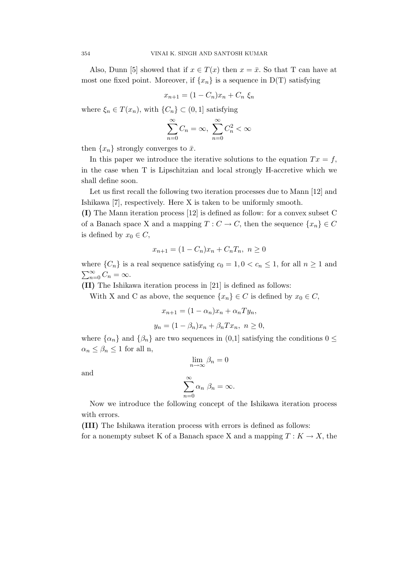Also, Dunn [5] showed that if  $x \in T(x)$  then  $x = \bar{x}$ . So that T can have at most one fixed point. Moreover, if  $\{x_n\}$  is a sequence in D(T) satisfying

$$
x_{n+1} = (1 - C_n)x_n + C_n \xi_n
$$

where  $\xi_n \in T(x_n)$ , with  $\{C_n\} \subset (0, 1]$  satisfying

$$
\sum_{n=0}^{\infty} C_n = \infty, \ \sum_{n=0}^{\infty} C_n^2 < \infty
$$

then  $\{x_n\}$  strongly converges to  $\bar{x}$ .

In this paper we introduce the iterative solutions to the equation  $Tx = f$ , in the case when T is Lipschitzian and local strongly H-accretive which we shall define soon.

Let us first recall the following two iteration processes due to Mann [12] and Ishikawa [7], respectively. Here X is taken to be uniformly smooth.

(I) The Mann iteration process [12] is defined as follow: for a convex subset C of a Banach space X and a mapping  $T: C \to C$ , then the sequence  $\{x_n\} \in C$ is defined by  $x_0 \in C$ ,

$$
x_{n+1} = (1 - C_n)x_n + C_nT_n, \ n \ge 0
$$

where  $\{C_n\}$  is a real sequence satisfying  $c_0 = 1, 0 < c_n \leq 1$ , for all  $n \geq 1$  and  $\sum_{n=0}^{\infty} C_n = \infty.$ 

(II) The Ishikawa iteration process in [21] is defined as follows:

With X and C as above, the sequence  $\{x_n\} \in C$  is defined by  $x_0 \in C$ ,

$$
x_{n+1} = (1 - \alpha_n)x_n + \alpha_n Ty_n,
$$
  

$$
y_n = (1 - \beta_n)x_n + \beta_n Tx_n, \quad n \ge 0,
$$

where  $\{\alpha_n\}$  and  $\{\beta_n\}$  are two sequences in  $(0,1]$  satisfying the conditions  $0 \leq$  $\alpha_n \leq \beta_n \leq 1$  for all n,

and

$$
\lim_{n \to \infty} \beta_n = 0
$$

$$
\sum_{n=0}^{\infty} \alpha_n \beta_n = \infty.
$$

Now we introduce the following concept of the Ishikawa iteration process with errors.

(III) The Ishikawa iteration process with errors is defined as follows: for a nonempty subset K of a Banach space X and a mapping  $T: K \to X$ , the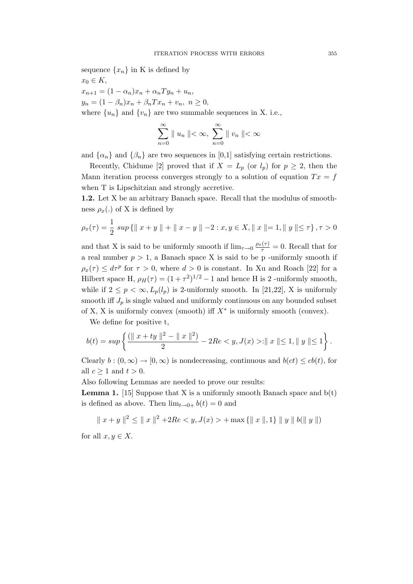sequence  $\{x_n\}$  in K is defined by  $x_0 \in K$ ,  $x_{n+1} = (1 - \alpha_n)x_n + \alpha_n Ty_n + u_n,$  $y_n = (1 - \beta_n)x_n + \beta_n Tx_n + v_n, \ n \ge 0,$ 

where  $\{u_n\}$  and  $\{v_n\}$  are two summable sequences in X. i.e.,

$$
\sum_{n=0}^{\infty} \parallel u_n \parallel < \infty, \sum_{n=0}^{\infty} \parallel v_n \parallel < \infty
$$

and  $\{\alpha_n\}$  and  $\{\beta_n\}$  are two sequences in [0,1] satisfying certain restrictions.

Recently, Chidume [2] proved that if  $X = L_p$  (or  $l_p$ ) for  $p \geq 2$ , then the Mann iteration process converges strongly to a solution of equation  $Tx = f$ when  $T$  is Lipschitzian and strongly accretive.

1.2. Let X be an arbitrary Banach space. Recall that the modulus of smoothness  $\rho_x(.)$  of X is defined by

$$
\rho_x(\tau) = \frac{1}{2} \sup \{ ||x + y|| + ||x - y|| -2 : x, y \in X, ||x|| = 1, ||y|| \leq \tau \}, \tau > 0
$$

and that X is said to be uniformly smooth if  $\lim_{\tau \to 0} \frac{\rho_x(\tau)}{\tau} = 0$ . Recall that for a real number  $p > 1$ , a Banach space X is said to be p -uniformly smooth if  $\rho_x(\tau) \leq d\tau^p$  for  $\tau > 0$ , where  $d > 0$  is constant. In Xu and Roach [22] for a Hilbert space H,  $\rho_H(\tau) = (1 + \tau^2)^{1/2} - 1$  and hence H is 2-uniformly smooth, while if  $2 \le p < \infty$ ,  $L_p(l_p)$  is 2-uniformly smooth. In [21,22], X is uniformly smooth iff  $J_p$  is single valued and uniformly continuous on any bounded subset of X, X is uniformly convex (smooth) iff  $X^*$  is uniformly smooth (convex).

We define for positive t,

$$
b(t) = \sup \left\{ \frac{(\|x + ty\|^2 - \|x\|^2)}{2} - 2Re < y, J(x) > : \|x\| \le 1, \|y\| \le 1 \right\}.
$$

Clearly  $b:(0,\infty) \to [0,\infty)$  is nondecreasing, continuous and  $b(ct) \leq cb(t)$ , for all  $c \geq 1$  and  $t > 0$ .

Also following Lemmas are needed to prove our results:

**Lemma 1.** [15] Suppose that X is a uniformly smooth Banach space and  $b(t)$ is defined as above. Then  $\lim_{t\to 0+} b(t) = 0$  and

$$
\parallel x+y\parallel^2\,\leq\,\parallel x\parallel^2+2Re+\max\left\{\parallel x\parallel,1\right\}\parallel y\parallel b(\parallel y\parallel)
$$

for all  $x, y \in X$ .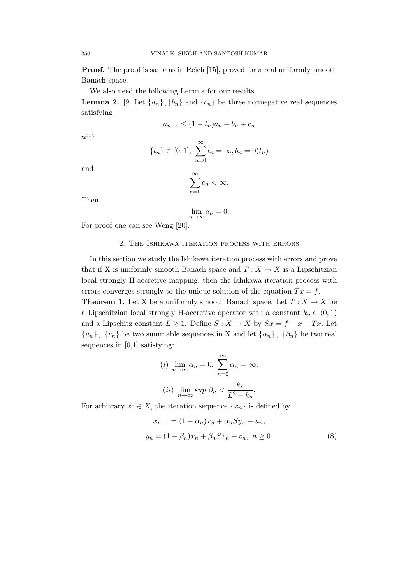**Proof.** The proof is same as in Reich [15], proved for a real uniformly smooth Banach space.

We also need the following Lemma for our results.

**Lemma 2.** [9] Let  $\{a_n\}$ ,  $\{b_n\}$  and  $\{c_n\}$  be three nonnegative real sequences satisfying

$$
a_{n+1} \le (1 - t_n)a_n + b_n + c_n
$$

with

$$
\{t_n\} \subset [0,1], \sum_{n=0}^{\infty} t_n = \infty, b_n = 0(t_n)
$$

and

$$
\sum_{n=0}^{\infty} c_n < \infty.
$$

Then

$$
\lim_{n \to \infty} a_n = 0.
$$

For proof one can see Weng [20].

### 2. The Ishikawa iteration process with errors

In this section we study the Ishikawa iteration process with errors and prove that if X is uniformly smooth Banach space and  $T: X \to X$  is a Lipschitzian local strongly H-accretive mapping, then the Ishikawa iteration process with errors converges strongly to the unique solution of the equation  $Tx = f$ .

**Theorem 1.** Let X be a uniformly smooth Banach space. Let  $T : X \to X$  be a Lipschitzian local strongly H-accretive operator with a constant  $k_p \in (0,1)$ and a Lipschitz constant  $L \geq 1$ . Define  $S: X \to X$  by  $Sx = f + x - Tx$ . Let  ${u_n}$ ,  ${v_n}$  be two summable sequences in X and let  ${\alpha_n}$ ,  ${\beta_n}$  be two real sequences in  $[0,1]$  satisfying:

(i) 
$$
\lim_{n \to \infty} \alpha_n = 0
$$
,  $\sum_{n=0}^{\infty} \alpha_n = \infty$ .  
(ii)  $\lim_{n \to \infty} \sup \beta_n < \frac{k_p}{L^2 - k_p}$ .

For arbitrary  $x_0 \in X$ , the iteration sequence  $\{x_n\}$  is defined by

$$
x_{n+1} = (1 - \alpha_n)x_n + \alpha_n Sy_n + u_n,
$$
  
\n
$$
y_n = (1 - \beta_n)x_n + \beta_n Sx_n + v_n, \ n \ge 0.
$$
\n(8)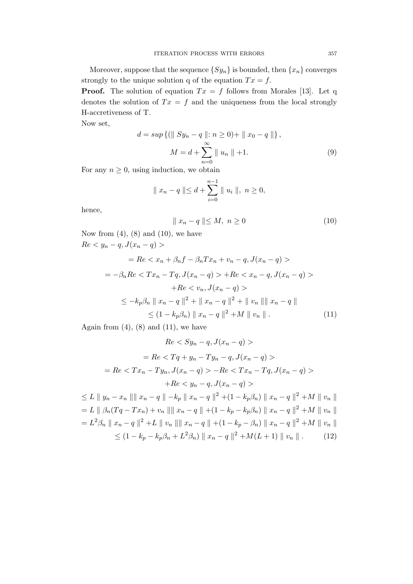Moreover, suppose that the sequence  $\{Sy_n\}$  is bounded, then  $\{x_n\}$  converges strongly to the unique solution q of the equation  $Tx = f$ .

**Proof.** The solution of equation  $Tx = f$  follows from Morales [13]. Let q denotes the solution of  $Tx = f$  and the uniqueness from the local strongly H-accretiveness of T.

Now set,

$$
d = \sup \{ (\parallel Sy_n - q \parallel: n \ge 0) + \parallel x_0 - q \parallel \},
$$
  

$$
M = d + \sum_{n=0}^{\infty} \parallel u_n \parallel +1.
$$
 (9)

For any  $n \geq 0$ , using induction, we obtain

$$
|| x_n - q || \le d + \sum_{i=0}^{n-1} || u_i ||, n \ge 0,
$$

hence,

$$
\parallel x_n - q \parallel \le M, \ n \ge 0 \tag{10}
$$

Now from  $(4)$ ,  $(8)$  and  $(10)$ , we have  $Re < y_n - q$ ,  $J(x_n - q)$ 

$$
= Re < x_n + \beta_n f - \beta_n Tx_n + v_n - q, J(x_n - q) >
$$
  

$$
= -\beta_n Re < Tx_n - Tq, J(x_n - q) > + Re < x_n - q, J(x_n - q) >
$$
  

$$
+ Re < v_n, J(x_n - q) >
$$
  

$$
\leq -k_p \beta_n ||x_n - q||^2 + ||x_n - q||^2 + ||v_n|| ||x_n - q||
$$
  

$$
\leq (1 - k_p \beta_n) ||x_n - q||^2 + M ||v_n||.
$$
 (11)

Again from  $(4)$ ,  $(8)$  and  $(11)$ , we have

$$
Re < Sy_n - q, J(x_n - q) >
$$
  
\n
$$
= Re < Tq + y_n - Ty_n - q, J(x_n - q) >
$$
  
\n
$$
= Re < Tx_n - Ty_n, J(x_n - q) > -Re < Tx_n - Tq, J(x_n - q) >
$$
  
\n
$$
+ Re < y_n - q, J(x_n - q) >
$$
  
\n
$$
\leq L || y_n - x_n || || x_n - q || - k_p || x_n - q ||^2 + (1 - k_p \beta_n) || x_n - q ||^2 + M || v_n ||
$$
  
\n
$$
= L || \beta_n (Tq - Tx_n) + v_n || || x_n - q || + (1 - k_p - k_p \beta_n) || x_n - q ||^2 + M || v_n ||
$$
  
\n
$$
= L^2 \beta_n || x_n - q ||^2 + L || v_n || || x_n - q || + (1 - k_p - \beta_n) || x_n - q ||^2 + M || v_n ||
$$
  
\n
$$
\leq (1 - k_p - k_p \beta_n + L^2 \beta_n) || x_n - q ||^2 + M(L + 1) || v_n ||.
$$
 (12)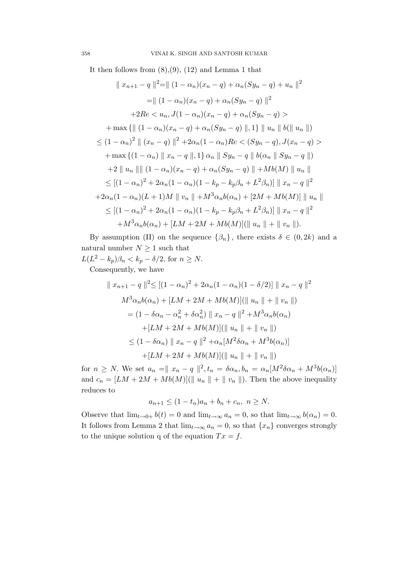It then follows from  $(8), (9), (12)$  and Lemma 1 that

$$
\|x_{n+1} - q\|^2 = \|(1 - \alpha_n)(x_n - q) + \alpha_n(Sy_n - q) + u_n\|^2
$$
  
\n
$$
= \|(1 - \alpha_n)(x_n - q) + \alpha_n(Sy_n - q)\|^2
$$
  
\n
$$
+ 2Re < u_n, J(1 - \alpha_n)(x_n - q) + \alpha_n(Sy_n - q) >
$$
  
\n
$$
+ \max \{ \|(1 - \alpha_n)(x_n - q) + \alpha_n(Sy_n - q) \|, 1 \} \|u_n\| b(\|u_n\|)
$$
  
\n
$$
\leq (1 - \alpha_n)^2 \| (x_n - q) \|^2 + 2\alpha_n (1 - \alpha_n) Re < (Sy_n - q), J(x_n - q) >
$$
  
\n
$$
+ \max \{ (1 - \alpha_n) \| x_n - q \|, 1 \} \alpha_n \| Sy_n - q \| b(\alpha_n \| Sy_n - q \|)
$$
  
\n
$$
+ 2 \| u_n \| \| (1 - \alpha_n)(x_n - q) + \alpha_n(Sy_n - q) \| + Mb(M) \| u_n \|
$$
  
\n
$$
\leq [(1 - \alpha_n)^2 + 2\alpha_n (1 - \alpha_n)(1 - k_p - k_p\beta_n + L^2\beta_n)] \| x_n - q \|^2
$$
  
\n
$$
+ 2\alpha_n (1 - \alpha_n)(L + 1)M \| v_n \| + M^3 \alpha_n b(\alpha_n) + [2M + Mb(M)] \| u_n \|
$$
  
\n
$$
\leq [(1 - \alpha_n)^2 + 2\alpha_n (1 - \alpha_n)(1 - k_p - k_p\beta_n + L^2\beta_n)] \| x_n - q \|^2
$$
  
\n
$$
+ M^3 \alpha_n b(\alpha_n) + [LM + 2M + Mb(M)](\| u_n \| + \| v_n \|).
$$

By assumption (II) on the sequence  $\{\beta_n\}$ , there exists  $\delta \in (0, 2k)$  and a natural number  $N \geq 1$  such that

 $L(L^2 - k_p)\beta_n < k_p - \delta/2$ , for  $n \ge N$ .

Consequently, we have

$$
\|x_{n+1} - q\|^2 \le [(1 - \alpha_n)^2 + 2\alpha_n(1 - \alpha_n)(1 - \delta/2)] \|x_n - q\|^2
$$
  

$$
M^3 \alpha_n b(\alpha_n) + [LM + 2M + Mb(M)](\|u_n\| + \|v_n\|)
$$
  

$$
= (1 - \delta\alpha_n - \alpha_n^2 + \delta\alpha_n^2) \|x_n - q\|^2 + M^3 \alpha_n b(\alpha_n)
$$
  

$$
+ [LM + 2M + Mb(M)](\|u_n\| + \|v_n\|)
$$
  

$$
\le (1 - \delta\alpha_n) \|x_n - q\|^2 + \alpha_n [M^2 \delta\alpha_n + M^3 b(\alpha_n)]
$$
  

$$
+ [LM + 2M + Mb(M)](\|u_n\| + \|v_n\|)
$$

for  $n \geq N$ . We set  $a_n = ||x_n - q||^2$ ,  $t_n = \delta \alpha_n$ ,  $b_n = \alpha_n [M^2 \delta \alpha_n + M^3 b(\alpha_n)]$ and  $c_n = [LM + 2M + Mb(M)](\Vert u_n \Vert + \Vert v_n \Vert)$ . Then the above inequality reduces to

$$
a_{n+1} \le (1 - t_n)a_n + b_n + c_n, \ n \ge N.
$$

Observe that  $\lim_{t\to 0+} b(t) = 0$  and  $\lim_{t\to\infty} a_n = 0$ , so that  $\lim_{t\to\infty} b(\alpha_n) = 0$ . It follows from Lemma 2 that  $\lim_{t\to\infty} a_n = 0$ , so that  $\{x_n\}$  converges strongly to the unique solution q of the equation  $Tx = f$ .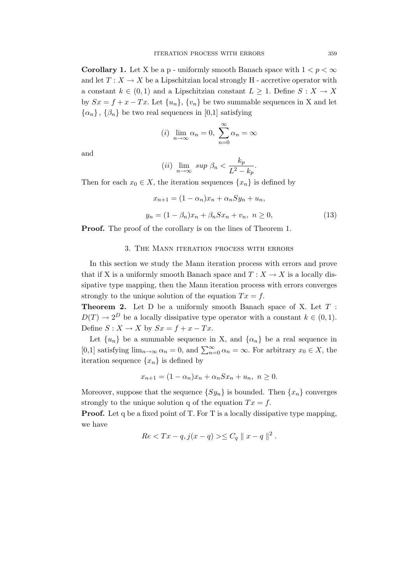**Corollary 1.** Let X be a p - uniformly smooth Banach space with  $1 < p < \infty$ and let  $T: X \to X$  be a Lipschitzian local strongly H - accretive operator with a constant  $k \in (0,1)$  and a Lipschitzian constant  $L \geq 1$ . Define  $S: X \to X$ by  $Sx = f + x - Tx$ . Let  $\{u_n\}, \{v_n\}$  be two summable sequences in X and let  $\{\alpha_n\}, \{\beta_n\}$  be two real sequences in [0,1] satisfying

$$
(i) \ \lim_{n \to \infty} \alpha_n = 0, \ \sum_{n=0}^{\infty} \alpha_n = \infty
$$

and

$$
(ii) \lim_{n \to \infty} \sup \beta_n < \frac{k_p}{L^2 - k_p}.
$$

Then for each  $x_0 \in X$ , the iteration sequences  $\{x_n\}$  is defined by

$$
x_{n+1} = (1 - \alpha_n)x_n + \alpha_n Sy_n + u_n,
$$
  
\n
$$
y_n = (1 - \beta_n)x_n + \beta_n S x_n + v_n, \ n \ge 0,
$$
\n(13)

Proof. The proof of the corollary is on the lines of Theorem 1.

## 3. The Mann iteration process with errors

In this section we study the Mann iteration process with errors and prove that if X is a uniformly smooth Banach space and  $T : X \to X$  is a locally dissipative type mapping, then the Mann iteration process with errors converges strongly to the unique solution of the equation  $Tx = f$ .

Theorem 2. Let D be a uniformly smooth Banach space of X. Let T:  $D(T) \to 2^D$  be a locally dissipative type operator with a constant  $k \in (0,1)$ . Define  $S: X \to X$  by  $Sx = f + x - Tx$ .

Let  $\{u_n\}$  be a summable sequence in X, and  $\{\alpha_n\}$  be a real sequence in [0,1] satisfying  $\lim_{n\to\infty} \alpha_n = 0$ , and  $\sum_{n=0}^{\infty} \alpha_n = \infty$ . For arbitrary  $x_0 \in X$ , the iteration sequence  $\{x_n\}$  is defined by

$$
x_{n+1} = (1 - \alpha_n)x_n + \alpha_n S x_n + u_n, \ n \ge 0.
$$

Moreover, suppose that the sequence  $\{Sy_n\}$  is bounded. Then  $\{x_n\}$  converges strongly to the unique solution q of the equation  $Tx = f$ .

**Proof.** Let q be a fixed point of T. For T is a locally dissipative type mapping, we have

$$
Re < Tx - q, j(x - q) > \leq C_q || x - q ||^2.
$$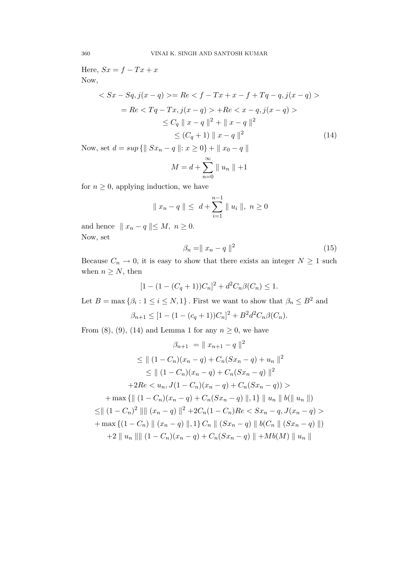Here,  $Sx = f - Tx + x$ Now,

$$
\langle Sx - Sq, j(x - q) \rangle = Re \langle f - Tx + x - f + Tq - q, j(x - q) \rangle
$$
  
= Re \langle Tq - Tx, j(x - q) \rangle + Re \langle x - q, j(x - q) \rangle  

$$
\leq C_q ||x - q||^2 + ||x - q||^2
$$
  

$$
\leq (C_q + 1) ||x - q||^2
$$
(14)

Now, set  $d = \sup \{ || Sx_n - q || : x \ge 0 \} + || x_0 - q ||$ 

$$
M = d + \sum_{n=0}^{\infty} || u_n || + 1
$$

for  $n \geq 0$ , applying induction, we have

$$
\|x_n - q\| \le d + \sum_{i=1}^{n-1} \|u_i\|, \ n \ge 0
$$

and hence  $||x_n - q|| \leq M, n \geq 0.$ Now, set

$$
\beta_n = \|x_n - q\|^2 \tag{15}
$$

Because  $C_n \to 0$ , it is easy to show that there exists an integer  $N \geq 1$  such when  $n \geq N$ , then

$$
[1 - (1 - (C_q + 1))C_n]^2 + d^2C_n\beta(C_n) \le 1.
$$

Let  $B = \max \{\beta_i : 1 \le i \le N, 1\}$ . First we want to show that  $\beta_n \le B^2$  and

$$
\beta_{n+1} \le [1 - (1 - (c_q + 1))C_n]^2 + B^2 d^2 C_n \beta(C_n).
$$

From (8), (9), (14) and Lemma 1 for any  $n \geq 0$ , we have

$$
\beta_{n+1} = ||x_{n+1} - q||^2
$$
  
\n
$$
\leq || (1 - C_n)(x_n - q) + C_n(Sx_n - q) + u_n ||^2
$$
  
\n
$$
\leq || (1 - C_n)(x_n - q) + C_n(Sx_n - q) ||^2
$$
  
\n
$$
+ 2Re < u_n, J(1 - C_n)(x_n - q) + C_n(Sx_n - q)) >
$$
  
\n
$$
+ \max \{ || (1 - C_n)(x_n - q) + C_n(Sx_n - q) ||, 1 \} || u_n || b (|| u_n ||)
$$
  
\n
$$
\leq || (1 - C_n)^2 || || (x_n - q) ||^2 + 2C_n(1 - C_n)Re < Sx_n - q, J(x_n - q) >
$$
  
\n
$$
+ \max \{ (1 - C_n) || (x_n - q) ||, 1 \} C_n || (Sx_n - q) || b (C_n || (Sx_n - q) ||)
$$
  
\n
$$
+ 2 || u_n || || (1 - C_n)(x_n - q) + C_n(Sx_n - q) || + Mb(M) || u_n ||
$$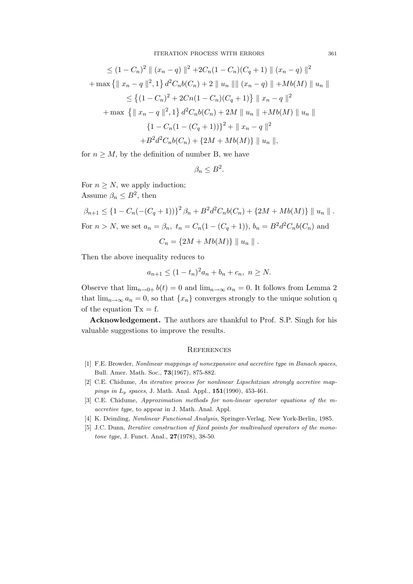$$
\leq (1 - C_n)^2 \parallel (x_n - q) \parallel^2 + 2C_n(1 - C_n)(C_q + 1) \parallel (x_n - q) \parallel^2
$$
  
+ max { $\parallel x_n - q \parallel^2, 1$ }  $d^2C_n b(C_n) + 2 \parallel u_n \parallel \parallel (x_n - q) \parallel + Mb(M) \parallel u_n \parallel$   
 $\leq \{(1 - C_n)^2 + 2Cn(1 - C_n)(C_q + 1)\} \parallel x_n - q \parallel^2$   
+ max { $\parallel x_n - q \parallel^2, 1$ }  $d^2C_n b(C_n) + 2M \parallel u_n \parallel + Mb(M) \parallel u_n \parallel$   
 $\{1 - C_n(1 - (C_q + 1))\}^2 + \parallel x_n - q \parallel^2$   
+  $B^2 d^2 C_n b(C_n) + \{2M + Mb(M)\} \parallel u_n \parallel,$ 

for  $n \geq M$ , by the definition of number B, we have

$$
\beta_n \le B^2.
$$

For  $n \geq N$ , we apply induction; Assume  $\beta_n \leq B^2$ , then

$$
\beta_{n+1} \leq \{1 - C_n(-(C_q + 1))\}^2 \beta_n + B^2 d^2 C_n b(C_n) + \{2M + Mb(M)\} \parallel u_n \parallel.
$$
  
For  $n > N$ , we set  $a_n = \beta_n$ ,  $t_n = C_n(1 - (C_q + 1))$ ,  $b_n = B^2 d^2 C_n b(C_n)$  and

$$
C_n = \{2M + Mb(M)\} \parallel u_n \parallel.
$$

Then the above inequality reduces to

$$
a_{n+1} \le (1 - t_n)^2 a_n + b_n + c_n, \ n \ge N.
$$

Observe that  $\lim_{n\to 0+} b(t) = 0$  and  $\lim_{n\to\infty} \alpha_n = 0$ . It follows from Lemma 2 that  $\lim_{n\to\infty} a_n = 0$ , so that  $\{x_n\}$  converges strongly to the unique solution q of the equation  $Tx = f$ .

Acknowledgement. The authors are thankful to Prof. S.P. Singh for his valuable suggestions to improve the results.

#### **REFERENCES**

- [1] F.E. Browder, Nonlinear mappings of nonexpansive and accretive type in Banach spaces, Bull. Amer. Math. Soc., 73(1967), 875-882.
- [2] C.E. Chidume, An iterative process for nonlinear Lipschitzian strongly accretive mappings in  $L_p$  spaces, J. Math. Anal. Appl.,  $151(1990)$ ,  $453-461$ .
- [3] C.E. Chidume, Approximation methods for non-linear operator equations of the maccretive type, to appear in J. Math. Anal. Appl.
- [4] K. Deimling, Nonlinear Functional Analysis, Springer-Verlag, New York-Berlin, 1985.
- [5] J.C. Dunn, Iterative construction of fixed points for multivalued operators of the monotone type, J. Funct. Anal., **27**(1978), 38-50.